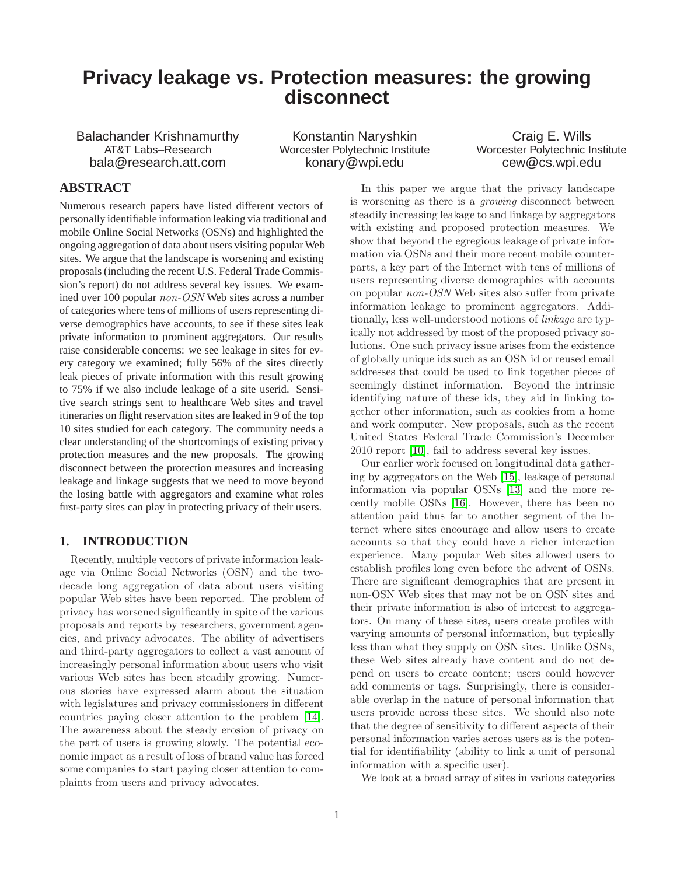# **Privacy leakage vs. Protection measures: the growing disconnect**

Balachander Krishnamurthy AT&T Labs–Research bala@research.att.com

Konstantin Naryshkin Worcester Polytechnic Institute konary@wpi.edu

Craig E. Wills Worcester Polytechnic Institute cew@cs.wpi.edu

# **ABSTRACT**

Numerous research papers have listed different vectors of personally identifiable information leaking via traditional and mobile Online Social Networks (OSNs) and highlighted the ongoing aggregation of data about users visiting popular Web sites. We argue that the landscape is worsening and existing proposals (including the recent U.S. Federal Trade Commission's report) do not address several key issues. We examined over 100 popular *non-OSN* Web sites across a number of categories where tens of millions of users representing diverse demographics have accounts, to see if these sites leak private information to prominent aggregators. Our results raise considerable concerns: we see leakage in sites for every category we examined; fully 56% of the sites directly leak pieces of private information with this result growing to 75% if we also include leakage of a site userid. Sensitive search strings sent to healthcare Web sites and travel itineraries on flight reservation sites are leaked in 9 of the top 10 sites studied for each category. The community needs a clear understanding of the shortcomings of existing privacy protection measures and the new proposals. The growing disconnect between the protection measures and increasing leakage and linkage suggests that we need to move beyond the losing battle with aggregators and examine what roles first-party sites can play in protecting privacy of their users.

# **1. INTRODUCTION**

Recently, multiple vectors of private information leakage via Online Social Networks (OSN) and the twodecade long aggregation of data about users visiting popular Web sites have been reported. The problem of privacy has worsened significantly in spite of the various proposals and reports by researchers, government agencies, and privacy advocates. The ability of advertisers and third-party aggregators to collect a vast amount of increasingly personal information about users who visit various Web sites has been steadily growing. Numerous stories have expressed alarm about the situation with legislatures and privacy commissioners in different countries paying closer attention to the problem [\[14\]](#page-9-0). The awareness about the steady erosion of privacy on the part of users is growing slowly. The potential economic impact as a result of loss of brand value has forced some companies to start paying closer attention to complaints from users and privacy advocates.

In this paper we argue that the privacy landscape is worsening as there is a *growing* disconnect between steadily increasing leakage to and linkage by aggregators with existing and proposed protection measures. We show that beyond the egregious leakage of private information via OSNs and their more recent mobile counterparts, a key part of the Internet with tens of millions of users representing diverse demographics with accounts on popular *non-OSN* Web sites also suffer from private information leakage to prominent aggregators. Additionally, less well-understood notions of *linkage* are typically not addressed by most of the proposed privacy solutions. One such privacy issue arises from the existence of globally unique ids such as an OSN id or reused email addresses that could be used to link together pieces of seemingly distinct information. Beyond the intrinsic identifying nature of these ids, they aid in linking together other information, such as cookies from a home and work computer. New proposals, such as the recent United States Federal Trade Commission's December 2010 report [\[10\]](#page-9-1), fail to address several key issues.

Our earlier work focused on longitudinal data gathering by aggregators on the Web [\[15\]](#page-9-2), leakage of personal information via popular OSNs [\[13\]](#page-9-3) and the more recently mobile OSNs [\[16\]](#page-9-4). However, there has been no attention paid thus far to another segment of the Internet where sites encourage and allow users to create accounts so that they could have a richer interaction experience. Many popular Web sites allowed users to establish profiles long even before the advent of OSNs. There are significant demographics that are present in non-OSN Web sites that may not be on OSN sites and their private information is also of interest to aggregators. On many of these sites, users create profiles with varying amounts of personal information, but typically less than what they supply on OSN sites. Unlike OSNs, these Web sites already have content and do not depend on users to create content; users could however add comments or tags. Surprisingly, there is considerable overlap in the nature of personal information that users provide across these sites. We should also note that the degree of sensitivity to different aspects of their personal information varies across users as is the potential for identifiability (ability to link a unit of personal information with a specific user).

We look at a broad array of sites in various categories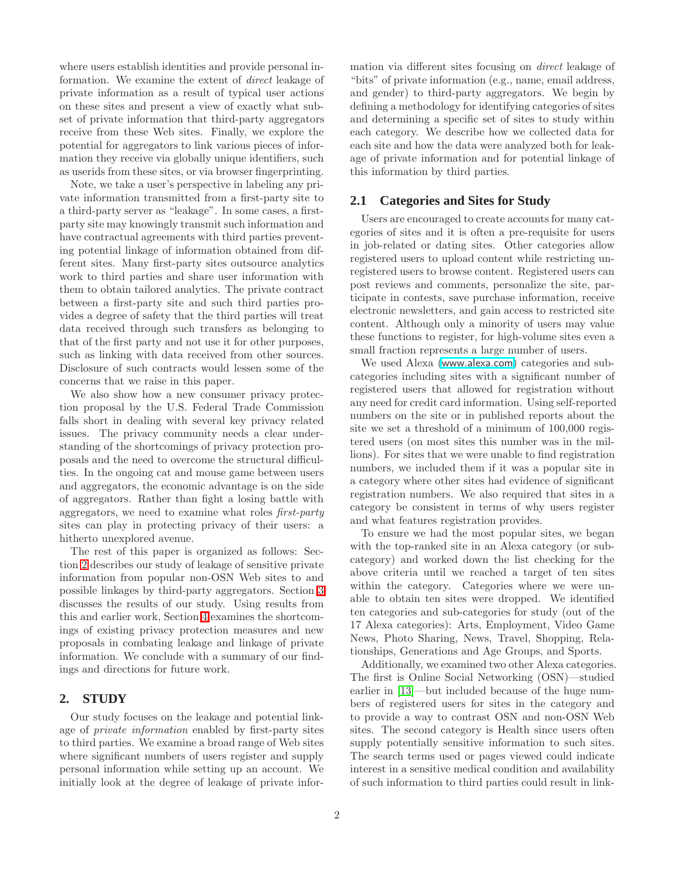where users establish identities and provide personal information. We examine the extent of *direct* leakage of private information as a result of typical user actions on these sites and present a view of exactly what subset of private information that third-party aggregators receive from these Web sites. Finally, we explore the potential for aggregators to link various pieces of information they receive via globally unique identifiers, such as userids from these sites, or via browser fingerprinting.

Note, we take a user's perspective in labeling any private information transmitted from a first-party site to a third-party server as "leakage". In some cases, a firstparty site may knowingly transmit such information and have contractual agreements with third parties preventing potential linkage of information obtained from different sites. Many first-party sites outsource analytics work to third parties and share user information with them to obtain tailored analytics. The private contract between a first-party site and such third parties provides a degree of safety that the third parties will treat data received through such transfers as belonging to that of the first party and not use it for other purposes, such as linking with data received from other sources. Disclosure of such contracts would lessen some of the concerns that we raise in this paper.

We also show how a new consumer privacy protection proposal by the U.S. Federal Trade Commission falls short in dealing with several key privacy related issues. The privacy community needs a clear understanding of the shortcomings of privacy protection proposals and the need to overcome the structural difficulties. In the ongoing cat and mouse game between users and aggregators, the economic advantage is on the side of aggregators. Rather than fight a losing battle with aggregators, we need to examine what roles *first-party* sites can play in protecting privacy of their users: a hitherto unexplored avenue.

The rest of this paper is organized as follows: Section [2](#page-1-0) describes our study of leakage of sensitive private information from popular non-OSN Web sites to and possible linkages by third-party aggregators. Section [3](#page-2-0) discusses the results of our study. Using results from this and earlier work, Section [4](#page-6-0) examines the shortcomings of existing privacy protection measures and new proposals in combating leakage and linkage of private information. We conclude with a summary of our findings and directions for future work.

### <span id="page-1-0"></span>**2. STUDY**

Our study focuses on the leakage and potential linkage of *private information* enabled by first-party sites to third parties. We examine a broad range of Web sites where significant numbers of users register and supply personal information while setting up an account. We initially look at the degree of leakage of private information via different sites focusing on *direct* leakage of "bits" of private information (e.g., name, email address, and gender) to third-party aggregators. We begin by defining a methodology for identifying categories of sites and determining a specific set of sites to study within each category. We describe how we collected data for each site and how the data were analyzed both for leakage of private information and for potential linkage of this information by third parties.

# **2.1 Categories and Sites for Study**

Users are encouraged to create accounts for many categories of sites and it is often a pre-requisite for users in job-related or dating sites. Other categories allow registered users to upload content while restricting unregistered users to browse content. Registered users can post reviews and comments, personalize the site, participate in contests, save purchase information, receive electronic newsletters, and gain access to restricted site content. Although only a minority of users may value these functions to register, for high-volume sites even a small fraction represents a large number of users.

We used Alexa (<www.alexa.com>) categories and subcategories including sites with a significant number of registered users that allowed for registration without any need for credit card information. Using self-reported numbers on the site or in published reports about the site we set a threshold of a minimum of 100,000 registered users (on most sites this number was in the millions). For sites that we were unable to find registration numbers, we included them if it was a popular site in a category where other sites had evidence of significant registration numbers. We also required that sites in a category be consistent in terms of why users register and what features registration provides.

To ensure we had the most popular sites, we began with the top-ranked site in an Alexa category (or subcategory) and worked down the list checking for the above criteria until we reached a target of ten sites within the category. Categories where we were unable to obtain ten sites were dropped. We identified ten categories and sub-categories for study (out of the 17 Alexa categories): Arts, Employment, Video Game News, Photo Sharing, News, Travel, Shopping, Relationships, Generations and Age Groups, and Sports.

Additionally, we examined two other Alexa categories. The first is Online Social Networking (OSN)—studied earlier in [\[13\]](#page-9-3)—but included because of the huge numbers of registered users for sites in the category and to provide a way to contrast OSN and non-OSN Web sites. The second category is Health since users often supply potentially sensitive information to such sites. The search terms used or pages viewed could indicate interest in a sensitive medical condition and availability of such information to third parties could result in link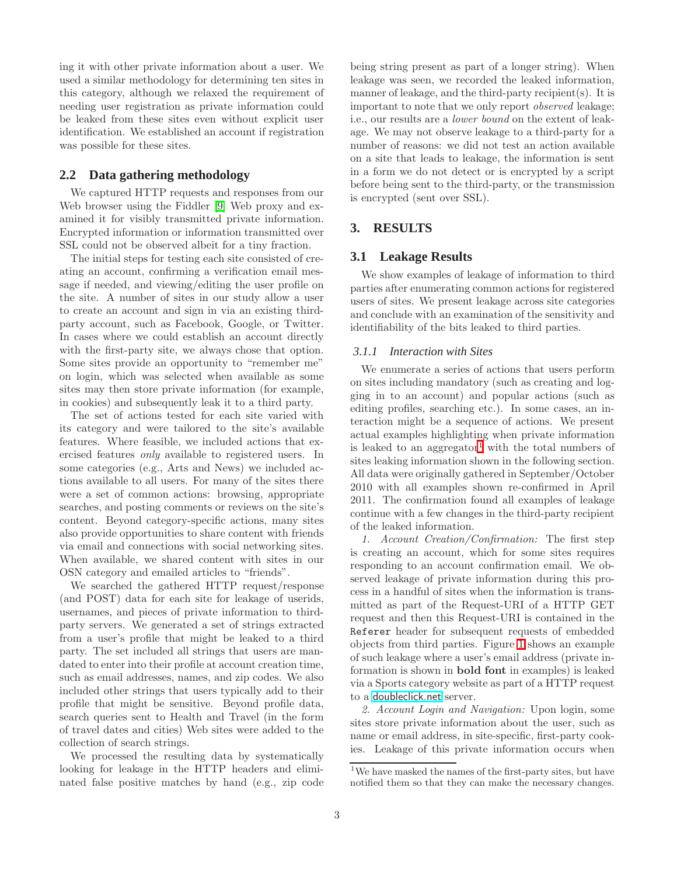ing it with other private information about a user. We used a similar methodology for determining ten sites in this category, although we relaxed the requirement of needing user registration as private information could be leaked from these sites even without explicit user identification. We established an account if registration was possible for these sites.

# **2.2 Data gathering methodology**

We captured HTTP requests and responses from our Web browser using the Fiddler [\[9\]](#page-9-5) Web proxy and examined it for visibly transmitted private information. Encrypted information or information transmitted over SSL could not be observed albeit for a tiny fraction.

The initial steps for testing each site consisted of creating an account, confirming a verification email message if needed, and viewing/editing the user profile on the site. A number of sites in our study allow a user to create an account and sign in via an existing thirdparty account, such as Facebook, Google, or Twitter. In cases where we could establish an account directly with the first-party site, we always chose that option. Some sites provide an opportunity to "remember me" on login, which was selected when available as some sites may then store private information (for example, in cookies) and subsequently leak it to a third party.

The set of actions tested for each site varied with its category and were tailored to the site's available features. Where feasible, we included actions that exercised features *only* available to registered users. In some categories (e.g., Arts and News) we included actions available to all users. For many of the sites there were a set of common actions: browsing, appropriate searches, and posting comments or reviews on the site's content. Beyond category-specific actions, many sites also provide opportunities to share content with friends via email and connections with social networking sites. When available, we shared content with sites in our OSN category and emailed articles to "friends".

We searched the gathered HTTP request/response (and POST) data for each site for leakage of userids, usernames, and pieces of private information to thirdparty servers. We generated a set of strings extracted from a user's profile that might be leaked to a third party. The set included all strings that users are mandated to enter into their profile at account creation time, such as email addresses, names, and zip codes. We also included other strings that users typically add to their profile that might be sensitive. Beyond profile data, search queries sent to Health and Travel (in the form of travel dates and cities) Web sites were added to the collection of search strings.

We processed the resulting data by systematically looking for leakage in the HTTP headers and eliminated false positive matches by hand (e.g., zip code being string present as part of a longer string). When leakage was seen, we recorded the leaked information, manner of leakage, and the third-party recipient(s). It is important to note that we only report *observed* leakage; i.e., our results are a *lower bound* on the extent of leakage. We may not observe leakage to a third-party for a number of reasons: we did not test an action available on a site that leads to leakage, the information is sent in a form we do not detect or is encrypted by a script before being sent to the third-party, or the transmission is encrypted (sent over SSL).

# <span id="page-2-0"></span>**3. RESULTS**

# **3.1 Leakage Results**

We show examples of leakage of information to third parties after enumerating common actions for registered users of sites. We present leakage across site categories and conclude with an examination of the sensitivity and identifiability of the bits leaked to third parties.

#### *3.1.1 Interaction with Sites*

We enumerate a series of actions that users perform on sites including mandatory (such as creating and logging in to an account) and popular actions (such as editing profiles, searching etc.). In some cases, an interaction might be a sequence of actions. We present actual examples highlighting when private information is leaked to an aggregator<sup>[1](#page-2-1)</sup> with the total numbers of sites leaking information shown in the following section. All data were originally gathered in September/October 2010 with all examples shown re-confirmed in April 2011. The confirmation found all examples of leakage continue with a few changes in the third-party recipient of the leaked information.

*1. Account Creation/Confirmation:* The first step is creating an account, which for some sites requires responding to an account confirmation email. We observed leakage of private information during this process in a handful of sites when the information is transmitted as part of the Request-URI of a HTTP GET request and then this Request-URI is contained in the Referer header for subsequent requests of embedded objects from third parties. Figure [1](#page-3-0) shows an example of such leakage where a user's email address (private information is shown in bold font in examples) is leaked via a Sports category website as part of a HTTP request to a <doubleclick.net> server.

*2. Account Login and Navigation:* Upon login, some sites store private information about the user, such as name or email address, in site-specific, first-party cookies. Leakage of this private information occurs when

<span id="page-2-1"></span><sup>&</sup>lt;sup>1</sup>We have masked the names of the first-party sites, but have notified them so that they can make the necessary changes.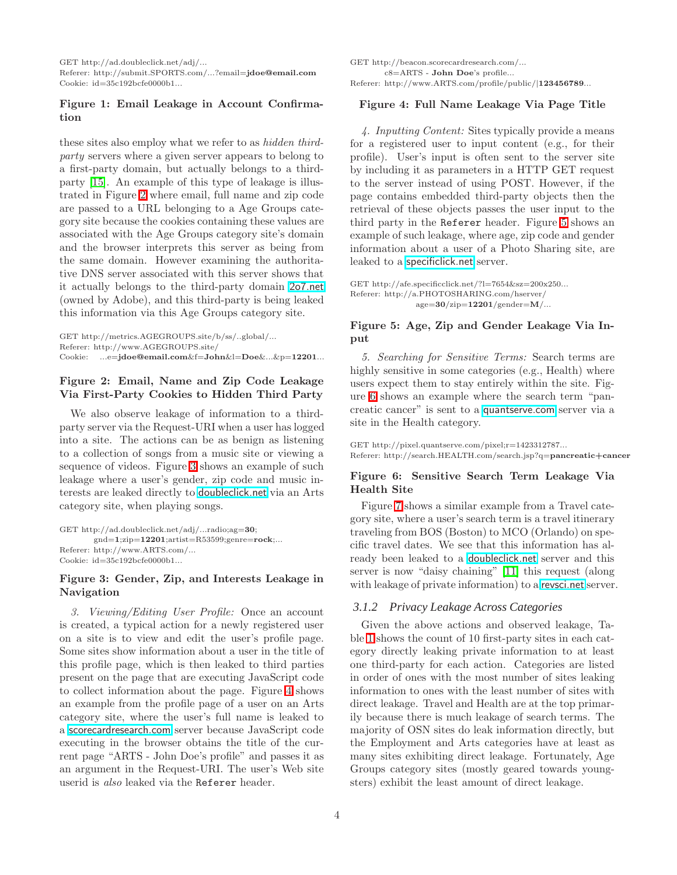GET $\mathrm{http://ad.doubleclick.net/adj/}...$ Referer: http://submit.SPORTS.com/...?email=jdoe@email.com Cookie: id=35c192bcfe0000b1...

# <span id="page-3-0"></span>Figure 1: Email Leakage in Account Confirmation

these sites also employ what we refer to as *hidden thirdparty* servers where a given server appears to belong to a first-party domain, but actually belongs to a thirdparty [\[15\]](#page-9-2). An example of this type of leakage is illustrated in Figure [2](#page-3-1) where email, full name and zip code are passed to a URL belonging to a Age Groups category site because the cookies containing these values are associated with the Age Groups category site's domain and the browser interprets this server as being from the same domain. However examining the authoritative DNS server associated with this server shows that it actually belongs to the third-party domain <2o7.net> (owned by Adobe), and this third-party is being leaked this information via this Age Groups category site.

GET http://metrics.AGEGROUPS.site/b/ss/..global/... Referer: http://www.AGEGROUPS.site/ Cookie: ...e=jdoe@email.com&f=John&l=Doe&...&p=12201...

### <span id="page-3-1"></span>Figure 2: Email, Name and Zip Code Leakage Via First-Party Cookies to Hidden Third Party

We also observe leakage of information to a thirdparty server via the Request-URI when a user has logged into a site. The actions can be as benign as listening to a collection of songs from a music site or viewing a sequence of videos. Figure [3](#page-3-2) shows an example of such leakage where a user's gender, zip code and music interests are leaked directly to <doubleclick.net> via an Arts category site, when playing songs.

```
GET http://ad.doubleclick.net/adj/...radio;ag=30;
        gnd=1;zip=12201;artist=R53599;genre=rock;...
Referer: http://www.ARTS.com/...
Cookie: id=35c192bcfe0000b1...
```
### <span id="page-3-2"></span>Figure 3: Gender, Zip, and Interests Leakage in Navigation

*3. Viewing/Editing User Profile:* Once an account is created, a typical action for a newly registered user on a site is to view and edit the user's profile page. Some sites show information about a user in the title of this profile page, which is then leaked to third parties present on the page that are executing JavaScript code to collect information about the page. Figure [4](#page-3-3) shows an example from the profile page of a user on an Arts category site, where the user's full name is leaked to a <scorecardresearch.com> server because JavaScript code executing in the browser obtains the title of the current page "ARTS - John Doe's profile" and passes it as an argument in the Request-URI. The user's Web site userid is *also* leaked via the Referer header.

GET http://beacon.scorecardresearch.com/... c8=ARTS - John Doe's profile... Referer: http://www.ARTS.com/profile/public/ $\mid\!\!123456789...$ 

#### <span id="page-3-3"></span>Figure 4: Full Name Leakage Via Page Title

*4. Inputting Content:* Sites typically provide a means for a registered user to input content (e.g., for their profile). User's input is often sent to the server site by including it as parameters in a HTTP GET request to the server instead of using POST. However, if the page contains embedded third-party objects then the retrieval of these objects passes the user input to the third party in the Referer header. Figure [5](#page-3-4) shows an example of such leakage, where age, zip code and gender information about a user of a Photo Sharing site, are leaked to a <specificlick.net> server.

GET http://afe.specificclick.net/?l=7654&sz=200x250... Referer: http://a.PHOTOSHARING.com/hserver/  $age=30/zip=12201/gender=M/...$ 

#### <span id="page-3-4"></span>Figure 5: Age, Zip and Gender Leakage Via Input

*5. Searching for Sensitive Terms:* Search terms are highly sensitive in some categories (e.g., Health) where users expect them to stay entirely within the site. Figure [6](#page-3-5) shows an example where the search term "pancreatic cancer" is sent to a <quantserve.com> server via a site in the Health category.

GET http://pixel.quantserve.com/pixel;r=1423312787... Referer: http://search.HEALTH.com/search.jsp?q=pancreatic+cancer

# <span id="page-3-5"></span>Figure 6: Sensitive Search Term Leakage Via Health Site

Figure [7](#page-4-0) shows a similar example from a Travel category site, where a user's search term is a travel itinerary traveling from BOS (Boston) to MCO (Orlando) on specific travel dates. We see that this information has already been leaked to a <doubleclick.net> server and this server is now "daisy chaining" [\[11\]](#page-9-6) this request (along with leakage of private information) to a <revsci.net> server.

### <span id="page-3-6"></span>*3.1.2 Privacy Leakage Across Categories*

Given the above actions and observed leakage, Table [1](#page-4-1) shows the count of 10 first-party sites in each category directly leaking private information to at least one third-party for each action. Categories are listed in order of ones with the most number of sites leaking information to ones with the least number of sites with direct leakage. Travel and Health are at the top primarily because there is much leakage of search terms. The majority of OSN sites do leak information directly, but the Employment and Arts categories have at least as many sites exhibiting direct leakage. Fortunately, Age Groups category sites (mostly geared towards youngsters) exhibit the least amount of direct leakage.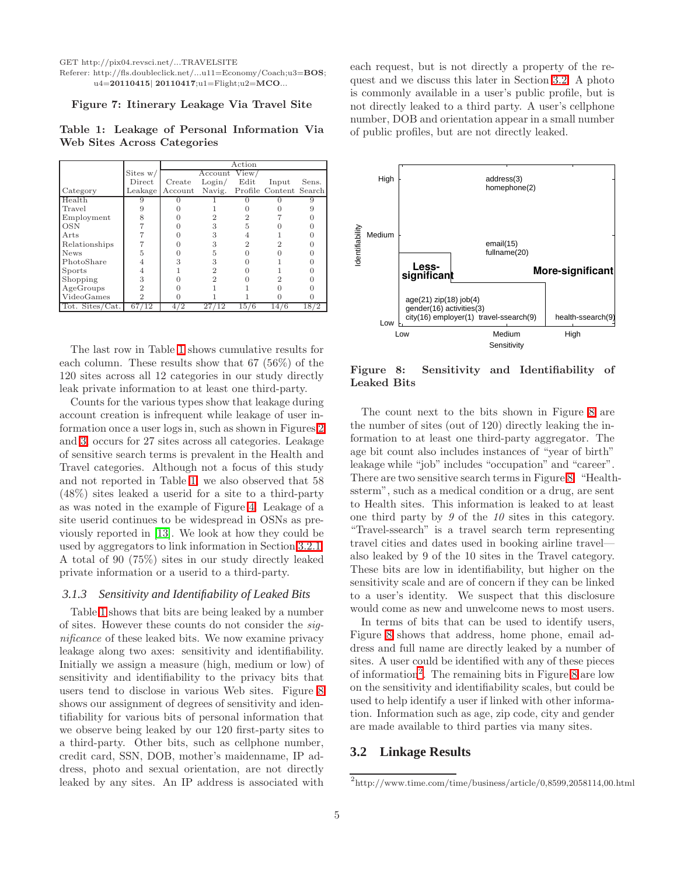GET http://pix04.revsci.net/...TRAVELSITE

#### Referer: http://fls.doubleclick.net/...u11=Economy/Coach;u3=BOS; u4=20110415| 20110417;u1=Flight;u2=MCO...

#### <span id="page-4-0"></span>Figure 7: Itinerary Leakage Via Travel Site

<span id="page-4-1"></span>Table 1: Leakage of Personal Information Via Web Sites Across Categories

|                 |            | Action  |            |       |                               |       |  |  |
|-----------------|------------|---------|------------|-------|-------------------------------|-------|--|--|
|                 | Sites $w/$ |         | Account    | View. |                               |       |  |  |
|                 | Direct     | Create  | Login/     | Edit  | Input                         | Sens. |  |  |
| Category        | Leakage    | Account |            |       | Navig. Profile Content Search |       |  |  |
| Health          |            |         |            |       |                               |       |  |  |
| Travel          |            |         |            |       |                               |       |  |  |
| Employment      | 8          |         |            |       |                               |       |  |  |
| <b>OSN</b>      |            |         |            | 5     |                               |       |  |  |
| Arts            |            |         |            |       |                               |       |  |  |
| Relationships   |            |         |            |       |                               |       |  |  |
| <b>News</b>     | 5          |         |            |       |                               |       |  |  |
| PhotoShare      |            |         |            |       |                               |       |  |  |
| Sports          |            |         |            |       |                               |       |  |  |
| Shopping        |            |         |            |       |                               |       |  |  |
| AgeGroups       |            |         |            |       |                               |       |  |  |
| VideoGames      | 2          |         |            |       |                               |       |  |  |
| Tot. Sites/Cat. | 67/12      | ′2      | 27/<br>'12 | 15/6  | 14/6                          | 18/2  |  |  |

The last row in Table [1](#page-4-1) shows cumulative results for each column. These results show that 67 (56%) of the 120 sites across all 12 categories in our study directly leak private information to at least one third-party.

Counts for the various types show that leakage during account creation is infrequent while leakage of user information once a user logs in, such as shown in Figures [2](#page-3-1) and [3,](#page-3-2) occurs for 27 sites across all categories. Leakage of sensitive search terms is prevalent in the Health and Travel categories. Although not a focus of this study and not reported in Table [1,](#page-4-1) we also observed that 58 (48%) sites leaked a userid for a site to a third-party as was noted in the example of Figure [4.](#page-3-3) Leakage of a site userid continues to be widespread in OSNs as previously reported in [\[13\]](#page-9-3). We look at how they could be used by aggregators to link information in Section [3.2.1.](#page-5-0) A total of 90 (75%) sites in our study directly leaked private information or a userid to a third-party.

#### *3.1.3 Sensitivity and Identifiability of Leaked Bits*

Table [1](#page-4-1) shows that bits are being leaked by a number of sites. However these counts do not consider the *significance* of these leaked bits. We now examine privacy leakage along two axes: sensitivity and identifiability. Initially we assign a measure (high, medium or low) of sensitivity and identifiability to the privacy bits that users tend to disclose in various Web sites. Figure [8](#page-4-2) shows our assignment of degrees of sensitivity and identifiability for various bits of personal information that we observe being leaked by our 120 first-party sites to a third-party. Other bits, such as cellphone number, credit card, SSN, DOB, mother's maidenname, IP address, photo and sexual orientation, are not directly leaked by any sites. An IP address is associated with

each request, but is not directly a property of the request and we discuss this later in Section [3.2.](#page-4-3) A photo is commonly available in a user's public profile, but is not directly leaked to a third party. A user's cellphone number, DOB and orientation appear in a small number of public profiles, but are not directly leaked.



<span id="page-4-2"></span>Figure 8: Sensitivity and Identifiability of Leaked Bits

The count next to the bits shown in Figure [8](#page-4-2) are the number of sites (out of 120) directly leaking the information to at least one third-party aggregator. The age bit count also includes instances of "year of birth" leakage while "job" includes "occupation" and "career". There are two sensitive search terms in Figure [8.](#page-4-2) "Healthssterm", such as a medical condition or a drug, are sent to Health sites. This information is leaked to at least one third party by *9* of the *10* sites in this category. "Travel-ssearch" is a travel search term representing travel cities and dates used in booking airline travel also leaked by 9 of the 10 sites in the Travel category. These bits are low in identifiability, but higher on the sensitivity scale and are of concern if they can be linked to a user's identity. We suspect that this disclosure would come as new and unwelcome news to most users.

In terms of bits that can be used to identify users, Figure [8](#page-4-2) shows that address, home phone, email address and full name are directly leaked by a number of sites. A user could be identified with any of these pieces of information<sup>[2](#page-4-4)</sup>. The remaining bits in Figure [8](#page-4-2) are low on the sensitivity and identifiability scales, but could be used to help identify a user if linked with other information. Information such as age, zip code, city and gender are made available to third parties via many sites.

# <span id="page-4-3"></span>**3.2 Linkage Results**

<span id="page-4-4"></span> $h^2$ http://www.time.com/time/business/article/0,8599,2058114,00.html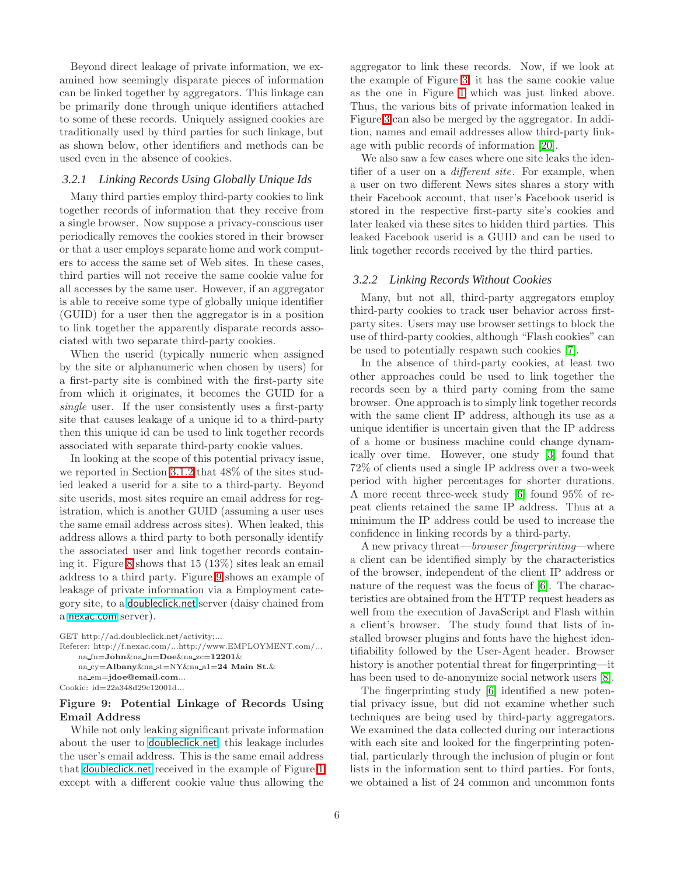Beyond direct leakage of private information, we examined how seemingly disparate pieces of information can be linked together by aggregators. This linkage can be primarily done through unique identifiers attached to some of these records. Uniquely assigned cookies are traditionally used by third parties for such linkage, but as shown below, other identifiers and methods can be used even in the absence of cookies.

#### <span id="page-5-0"></span>*3.2.1 Linking Records Using Globally Unique Ids*

Many third parties employ third-party cookies to link together records of information that they receive from a single browser. Now suppose a privacy-conscious user periodically removes the cookies stored in their browser or that a user employs separate home and work computers to access the same set of Web sites. In these cases, third parties will not receive the same cookie value for all accesses by the same user. However, if an aggregator is able to receive some type of globally unique identifier (GUID) for a user then the aggregator is in a position to link together the apparently disparate records associated with two separate third-party cookies.

When the userid (typically numeric when assigned by the site or alphanumeric when chosen by users) for a first-party site is combined with the first-party site from which it originates, it becomes the GUID for a *single* user. If the user consistently uses a first-party site that causes leakage of a unique id to a third-party then this unique id can be used to link together records associated with separate third-party cookie values.

In looking at the scope of this potential privacy issue, we reported in Section [3.1.2](#page-3-6) that 48% of the sites studied leaked a userid for a site to a third-party. Beyond site userids, most sites require an email address for registration, which is another GUID (assuming a user uses the same email address across sites). When leaked, this address allows a third party to both personally identify the associated user and link together records containing it. Figure [8](#page-4-2) shows that 15 (13%) sites leak an email address to a third party. Figure [9](#page-5-1) shows an example of leakage of private information via a Employment category site, to a <doubleclick.net> server (daisy chained from a <nexac.com> server).

```
GET http://ad.doubleclick.net/activity;...
Referer: http://f.nexac.com/...http://www.EMPLOYMENT.com/...
    na fn=John&na ln=Doe&na zc=12201&
    na cy=Albany&na st=NY&na a1=24 Main St.&
    na em=jdoe@email.com...
Cookie: id=22a348d29e12001d...
```
### <span id="page-5-1"></span>Figure 9: Potential Linkage of Records Using Email Address

While not only leaking significant private information about the user to <doubleclick.net>, this leakage includes the user's email address. This is the same email address that <doubleclick.net> received in the example of Figure [1](#page-3-0) except with a different cookie value thus allowing the aggregator to link these records. Now, if we look at the example of Figure [3,](#page-3-2) it has the same cookie value as the one in Figure [1](#page-3-0) which was just linked above. Thus, the various bits of private information leaked in Figure [3](#page-3-2) can also be merged by the aggregator. In addition, names and email addresses allow third-party linkage with public records of information [\[20\]](#page-9-7).

We also saw a few cases where one site leaks the identifier of a user on a *different site*. For example, when a user on two different News sites shares a story with their Facebook account, that user's Facebook userid is stored in the respective first-party site's cookies and later leaked via these sites to hidden third parties. This leaked Facebook userid is a GUID and can be used to link together records received by the third parties.

#### *3.2.2 Linking Records Without Cookies*

Many, but not all, third-party aggregators employ third-party cookies to track user behavior across firstparty sites. Users may use browser settings to block the use of third-party cookies, although "Flash cookies" can be used to potentially respawn such cookies [\[7\]](#page-9-8).

In the absence of third-party cookies, at least two other approaches could be used to link together the records seen by a third party coming from the same browser. One approach is to simply link together records with the same client IP address, although its use as a unique identifier is uncertain given that the IP address of a home or business machine could change dynamically over time. However, one study [\[3\]](#page-9-9) found that 72% of clients used a single IP address over a two-week period with higher percentages for shorter durations. A more recent three-week study [\[6\]](#page-9-10) found 95% of repeat clients retained the same IP address. Thus at a minimum the IP address could be used to increase the confidence in linking records by a third-party.

A new privacy threat—*browser fingerprinting*—where a client can be identified simply by the characteristics of the browser, independent of the client IP address or nature of the request was the focus of [\[6\]](#page-9-10). The characteristics are obtained from the HTTP request headers as well from the execution of JavaScript and Flash within a client's browser. The study found that lists of installed browser plugins and fonts have the highest identifiability followed by the User-Agent header. Browser history is another potential threat for fingerprinting—it has been used to de-anonymize social network users [\[8\]](#page-9-11).

The fingerprinting study [\[6\]](#page-9-10) identified a new potential privacy issue, but did not examine whether such techniques are being used by third-party aggregators. We examined the data collected during our interactions with each site and looked for the fingerprinting potential, particularly through the inclusion of plugin or font lists in the information sent to third parties. For fonts, we obtained a list of 24 common and uncommon fonts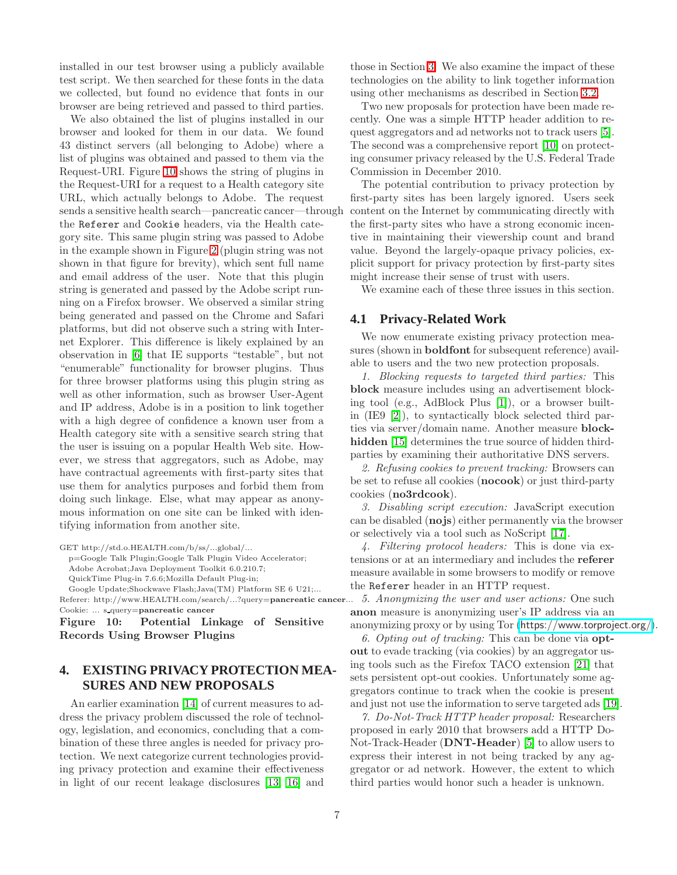installed in our test browser using a publicly available test script. We then searched for these fonts in the data we collected, but found no evidence that fonts in our browser are being retrieved and passed to third parties.

We also obtained the list of plugins installed in our browser and looked for them in our data. We found 43 distinct servers (all belonging to Adobe) where a list of plugins was obtained and passed to them via the Request-URI. Figure [10](#page-6-1) shows the string of plugins in the Request-URI for a request to a Health category site URL, which actually belongs to Adobe. The request sends a sensitive health search—pancreatic cancer—through the Referer and Cookie headers, via the Health category site. This same plugin string was passed to Adobe in the example shown in Figure [2](#page-3-1) (plugin string was not shown in that figure for brevity), which sent full name and email address of the user. Note that this plugin string is generated and passed by the Adobe script running on a Firefox browser. We observed a similar string being generated and passed on the Chrome and Safari platforms, but did not observe such a string with Internet Explorer. This difference is likely explained by an observation in [\[6\]](#page-9-10) that IE supports "testable", but not "enumerable" functionality for browser plugins. Thus for three browser platforms using this plugin string as well as other information, such as browser User-Agent and IP address, Adobe is in a position to link together with a high degree of confidence a known user from a Health category site with a sensitive search string that the user is issuing on a popular Health Web site. However, we stress that aggregators, such as Adobe, may have contractual agreements with first-party sites that use them for analytics purposes and forbid them from doing such linkage. Else, what may appear as anonymous information on one site can be linked with identifying information from another site.

GET http://std.o.HEALTH.com/b/ss/...global/...

p=Google Talk Plugin;Google Talk Plugin Video Accelerator; Adobe Acrobat;Java Deployment Toolkit 6.0.210.7;

QuickTime Plug-in 7.6.6;Mozilla Default Plug-in;

Google Update;Shockwave Flash;Java(TM) Platform SE 6 U21;...

Referer: http://www.HEALTH.com/search/...?query=pancreatic cancer... Cookie: ... s query=pancreatic cancer

<span id="page-6-1"></span>Figure 10: Potential Linkage of Sensitive Records Using Browser Plugins

# <span id="page-6-0"></span>**4. EXISTING PRIVACY PROTECTION MEA-SURES AND NEW PROPOSALS**

An earlier examination [\[14\]](#page-9-0) of current measures to address the privacy problem discussed the role of technology, legislation, and economics, concluding that a combination of these three angles is needed for privacy protection. We next categorize current technologies providing privacy protection and examine their effectiveness in light of our recent leakage disclosures [\[13,](#page-9-3) [16\]](#page-9-4) and

those in Section [3.](#page-2-0) We also examine the impact of these technologies on the ability to link together information using other mechanisms as described in Section [3.2.](#page-4-3)

Two new proposals for protection have been made recently. One was a simple HTTP header addition to request aggregators and ad networks not to track users [\[5\]](#page-9-12). The second was a comprehensive report [\[10\]](#page-9-1) on protecting consumer privacy released by the U.S. Federal Trade Commission in December 2010.

The potential contribution to privacy protection by first-party sites has been largely ignored. Users seek content on the Internet by communicating directly with the first-party sites who have a strong economic incentive in maintaining their viewership count and brand value. Beyond the largely-opaque privacy policies, explicit support for privacy protection by first-party sites might increase their sense of trust with users.

We examine each of these three issues in this section.

# **4.1 Privacy-Related Work**

We now enumerate existing privacy protection measures (shown in boldfont for subsequent reference) available to users and the two new protection proposals.

*1. Blocking requests to targeted third parties:* This block measure includes using an advertisement blocking tool (e.g., AdBlock Plus [\[1\]](#page-9-13)), or a browser builtin (IE9 [\[2\]](#page-9-14)), to syntactically block selected third parties via server/domain name. Another measure block-hidden [\[15\]](#page-9-2) determines the true source of hidden thirdparties by examining their authoritative DNS servers.

*2. Refusing cookies to prevent tracking:* Browsers can be set to refuse all cookies (nocook) or just third-party cookies (no3rdcook).

*3. Disabling script execution:* JavaScript execution can be disabled (nojs) either permanently via the browser or selectively via a tool such as NoScript [\[17\]](#page-9-15).

*4. Filtering protocol headers:* This is done via extensions or at an intermediary and includes the referer measure available in some browsers to modify or remove the Referer header in an HTTP request.

*5. Anonymizing the user and user actions:* One such anon measure is anonymizing user's IP address via an anonymizing proxy or by using Tor (<https://www.torproject.org/>).

*6. Opting out of tracking:* This can be done via optout to evade tracking (via cookies) by an aggregator using tools such as the Firefox TACO extension [\[21\]](#page-9-16) that sets persistent opt-out cookies. Unfortunately some aggregators continue to track when the cookie is present and just not use the information to serve targeted ads [\[19\]](#page-9-17).

*7. Do-Not-Track HTTP header proposal:* Researchers proposed in early 2010 that browsers add a HTTP Do-Not-Track-Header (DNT-Header) [\[5\]](#page-9-12) to allow users to express their interest in not being tracked by any aggregator or ad network. However, the extent to which third parties would honor such a header is unknown.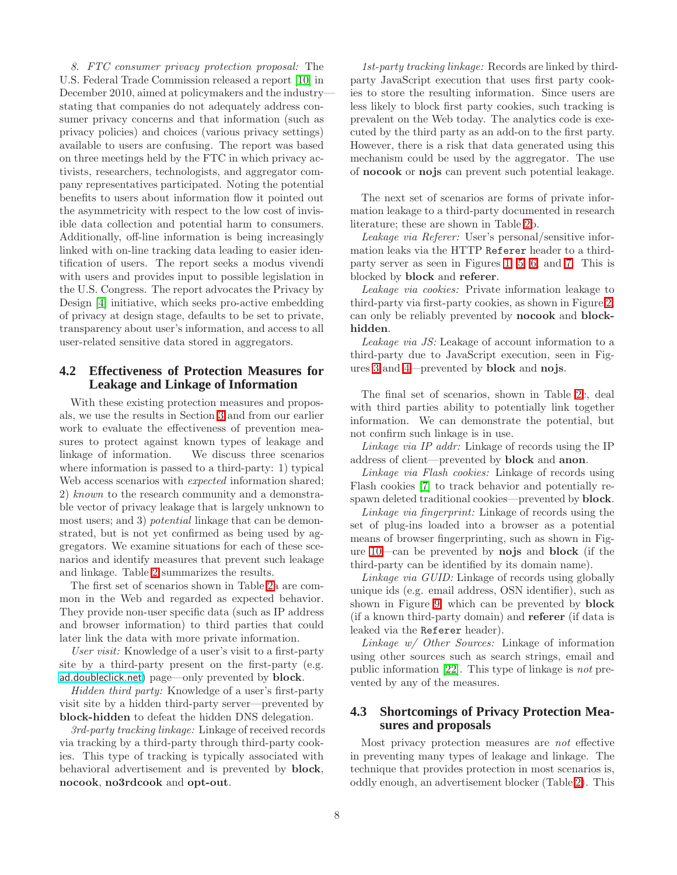*8. FTC consumer privacy protection proposal:* The U.S. Federal Trade Commission released a report [\[10\]](#page-9-1) in December 2010, aimed at policymakers and the industry stating that companies do not adequately address consumer privacy concerns and that information (such as privacy policies) and choices (various privacy settings) available to users are confusing. The report was based on three meetings held by the FTC in which privacy activists, researchers, technologists, and aggregator company representatives participated. Noting the potential benefits to users about information flow it pointed out the asymmetricity with respect to the low cost of invisible data collection and potential harm to consumers. Additionally, off-line information is being increasingly linked with on-line tracking data leading to easier identification of users. The report seeks a modus vivendi with users and provides input to possible legislation in the U.S. Congress. The report advocates the Privacy by Design [\[4\]](#page-9-18) initiative, which seeks pro-active embedding of privacy at design stage, defaults to be set to private, transparency about user's information, and access to all user-related sensitive data stored in aggregators.

# **4.2 Effectiveness of Protection Measures for Leakage and Linkage of Information**

With these existing protection measures and proposals, we use the results in Section [3](#page-2-0) and from our earlier work to evaluate the effectiveness of prevention measures to protect against known types of leakage and linkage of information. We discuss three scenarios where information is passed to a third-party: 1) typical Web access scenarios with *expected* information shared; 2) *known* to the research community and a demonstrable vector of privacy leakage that is largely unknown to most users; and 3) *potential* linkage that can be demonstrated, but is not yet confirmed as being used by aggregators. We examine situations for each of these scenarios and identify measures that prevent such leakage and linkage. Table [2](#page-8-0) summarizes the results.

The first set of scenarios shown in Table [2a](#page-8-0) are common in the Web and regarded as expected behavior. They provide non-user specific data (such as IP address and browser information) to third parties that could later link the data with more private information.

*User visit:* Knowledge of a user's visit to a first-party site by a third-party present on the first-party (e.g. <ad.doubleclick.net>) page—only prevented by block.

*Hidden third party:* Knowledge of a user's first-party visit site by a hidden third-party server—prevented by block-hidden to defeat the hidden DNS delegation.

*3rd-party tracking linkage:* Linkage of received records via tracking by a third-party through third-party cookies. This type of tracking is typically associated with behavioral advertisement and is prevented by block, nocook, no3rdcook and opt-out.

*1st-party tracking linkage:* Records are linked by thirdparty JavaScript execution that uses first party cookies to store the resulting information. Since users are less likely to block first party cookies, such tracking is prevalent on the Web today. The analytics code is executed by the third party as an add-on to the first party. However, there is a risk that data generated using this mechanism could be used by the aggregator. The use of nocook or nojs can prevent such potential leakage.

The next set of scenarios are forms of private information leakage to a third-party documented in research literature; these are shown in Table [2b](#page-8-0).

*Leakage via Referer:* User's personal/sensitive information leaks via the HTTP Referer header to a thirdparty server as seen in Figures [1,](#page-3-0) [5,](#page-3-4) [6,](#page-3-5) and [7.](#page-4-0) This is blocked by block and referer.

*Leakage via cookies:* Private information leakage to third-party via first-party cookies, as shown in Figure [2,](#page-3-1) can only be reliably prevented by nocook and blockhidden.

*Leakage via JS:* Leakage of account information to a third-party due to JavaScript execution, seen in Figures [3](#page-3-2) and [4—](#page-3-3)prevented by block and nojs.

The final set of scenarios, shown in Table [2c](#page-8-0), deal with third parties ability to potentially link together information. We can demonstrate the potential, but not confirm such linkage is in use.

*Linkage via IP addr:* Linkage of records using the IP address of client—prevented by block and anon.

*Linkage via Flash cookies:* Linkage of records using Flash cookies [\[7\]](#page-9-8) to track behavior and potentially respawn deleted traditional cookies—prevented by block.

*Linkage via fingerprint:* Linkage of records using the set of plug-ins loaded into a browser as a potential means of browser fingerprinting, such as shown in Figure [10—](#page-6-1)can be prevented by nojs and block (if the third-party can be identified by its domain name).

*Linkage via GUID:* Linkage of records using globally unique ids (e.g. email address, OSN identifier), such as shown in Figure [9,](#page-5-1) which can be prevented by block (if a known third-party domain) and referer (if data is leaked via the Referer header).

*Linkage w/ Other Sources:* Linkage of information using other sources such as search strings, email and public information [\[22\]](#page-9-19). This type of linkage is *not* prevented by any of the measures.

# **4.3 Shortcomings of Privacy Protection Measures and proposals**

Most privacy protection measures are *not* effective in preventing many types of leakage and linkage. The technique that provides protection in most scenarios is, oddly enough, an advertisement blocker (Table [2\)](#page-8-0). This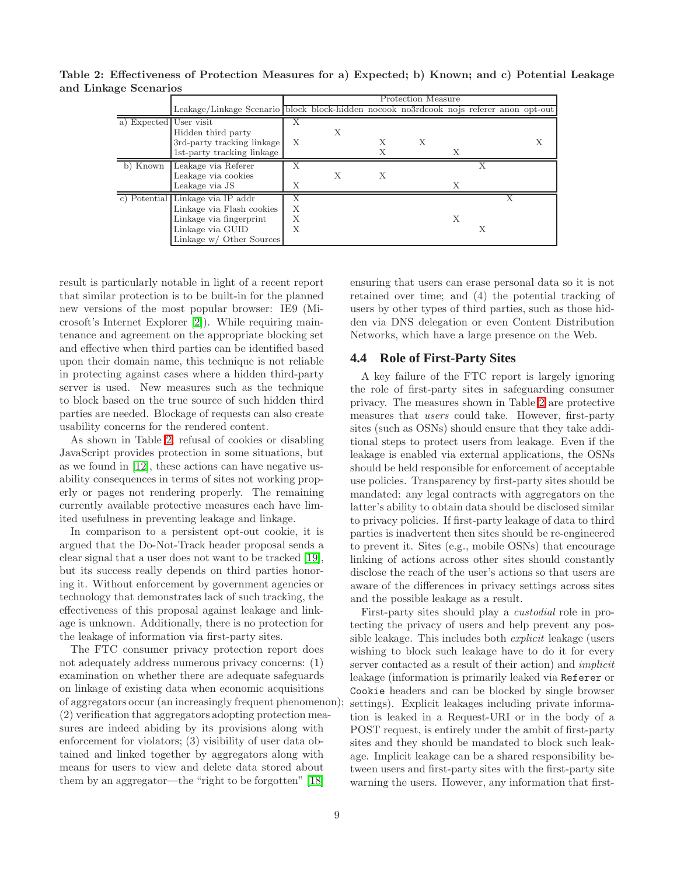|                        |                                                                                        | Protection Measure |   |   |   |   |   |  |  |
|------------------------|----------------------------------------------------------------------------------------|--------------------|---|---|---|---|---|--|--|
|                        | Leakage/Linkage Scenario block block-hidden nocook no3rdcook nojs referer anon opt-out |                    |   |   |   |   |   |  |  |
| a) Expected User visit |                                                                                        |                    |   |   |   |   |   |  |  |
|                        | Hidden third party                                                                     |                    | Х |   |   |   |   |  |  |
|                        | 3rd-party tracking linkage                                                             | X                  |   |   | X |   |   |  |  |
|                        | 1st-party tracking linkage                                                             |                    |   |   |   | Х |   |  |  |
| b) Known               | Leakage via Referer                                                                    |                    |   |   |   |   |   |  |  |
|                        | Leakage via cookies                                                                    |                    | Х | Х |   |   |   |  |  |
|                        | Leakage via JS                                                                         | Х                  |   |   |   | X |   |  |  |
|                        | c) Potential Linkage via IP addr                                                       |                    |   |   |   |   |   |  |  |
|                        | Linkage via Flash cookies                                                              | Х                  |   |   |   |   |   |  |  |
|                        | Linkage via fingerprint                                                                | Х                  |   |   |   | X |   |  |  |
|                        | Linkage via GUID                                                                       | Х                  |   |   |   |   | Х |  |  |
|                        | Linkage w/ Other Sources                                                               |                    |   |   |   |   |   |  |  |

<span id="page-8-0"></span>Table 2: Effectiveness of Protection Measures for a) Expected; b) Known; and c) Potential Leakage and Linkage Scenarios

result is particularly notable in light of a recent report that similar protection is to be built-in for the planned new versions of the most popular browser: IE9 (Microsoft's Internet Explorer [\[2\]](#page-9-14)). While requiring maintenance and agreement on the appropriate blocking set and effective when third parties can be identified based upon their domain name, this technique is not reliable in protecting against cases where a hidden third-party server is used. New measures such as the technique to block based on the true source of such hidden third parties are needed. Blockage of requests can also create usability concerns for the rendered content.

As shown in Table [2,](#page-8-0) refusal of cookies or disabling JavaScript provides protection in some situations, but as we found in [\[12\]](#page-9-20), these actions can have negative usability consequences in terms of sites not working properly or pages not rendering properly. The remaining currently available protective measures each have limited usefulness in preventing leakage and linkage.

In comparison to a persistent opt-out cookie, it is argued that the Do-Not-Track header proposal sends a clear signal that a user does not want to be tracked [\[19\]](#page-9-17), but its success really depends on third parties honoring it. Without enforcement by government agencies or technology that demonstrates lack of such tracking, the effectiveness of this proposal against leakage and linkage is unknown. Additionally, there is no protection for the leakage of information via first-party sites.

The FTC consumer privacy protection report does not adequately address numerous privacy concerns: (1) examination on whether there are adequate safeguards on linkage of existing data when economic acquisitions of aggregators occur (an increasingly frequent phenomenon); (2) verification that aggregators adopting protection measures are indeed abiding by its provisions along with enforcement for violators; (3) visibility of user data obtained and linked together by aggregators along with means for users to view and delete data stored about them by an aggregator—the "right to be forgotten" [\[18\]](#page-9-21)

ensuring that users can erase personal data so it is not retained over time; and (4) the potential tracking of users by other types of third parties, such as those hidden via DNS delegation or even Content Distribution Networks, which have a large presence on the Web.

# **4.4 Role of First-Party Sites**

A key failure of the FTC report is largely ignoring the role of first-party sites in safeguarding consumer privacy. The measures shown in Table [2](#page-8-0) are protective measures that *users* could take. However, first-party sites (such as OSNs) should ensure that they take additional steps to protect users from leakage. Even if the leakage is enabled via external applications, the OSNs should be held responsible for enforcement of acceptable use policies. Transparency by first-party sites should be mandated: any legal contracts with aggregators on the latter's ability to obtain data should be disclosed similar to privacy policies. If first-party leakage of data to third parties is inadvertent then sites should be re-engineered to prevent it. Sites (e.g., mobile OSNs) that encourage linking of actions across other sites should constantly disclose the reach of the user's actions so that users are aware of the differences in privacy settings across sites and the possible leakage as a result.

First-party sites should play a *custodial* role in protecting the privacy of users and help prevent any possible leakage. This includes both *explicit* leakage (users wishing to block such leakage have to do it for every server contacted as a result of their action) and *implicit* leakage (information is primarily leaked via Referer or Cookie headers and can be blocked by single browser settings). Explicit leakages including private information is leaked in a Request-URI or in the body of a POST request, is entirely under the ambit of first-party sites and they should be mandated to block such leakage. Implicit leakage can be a shared responsibility between users and first-party sites with the first-party site warning the users. However, any information that first